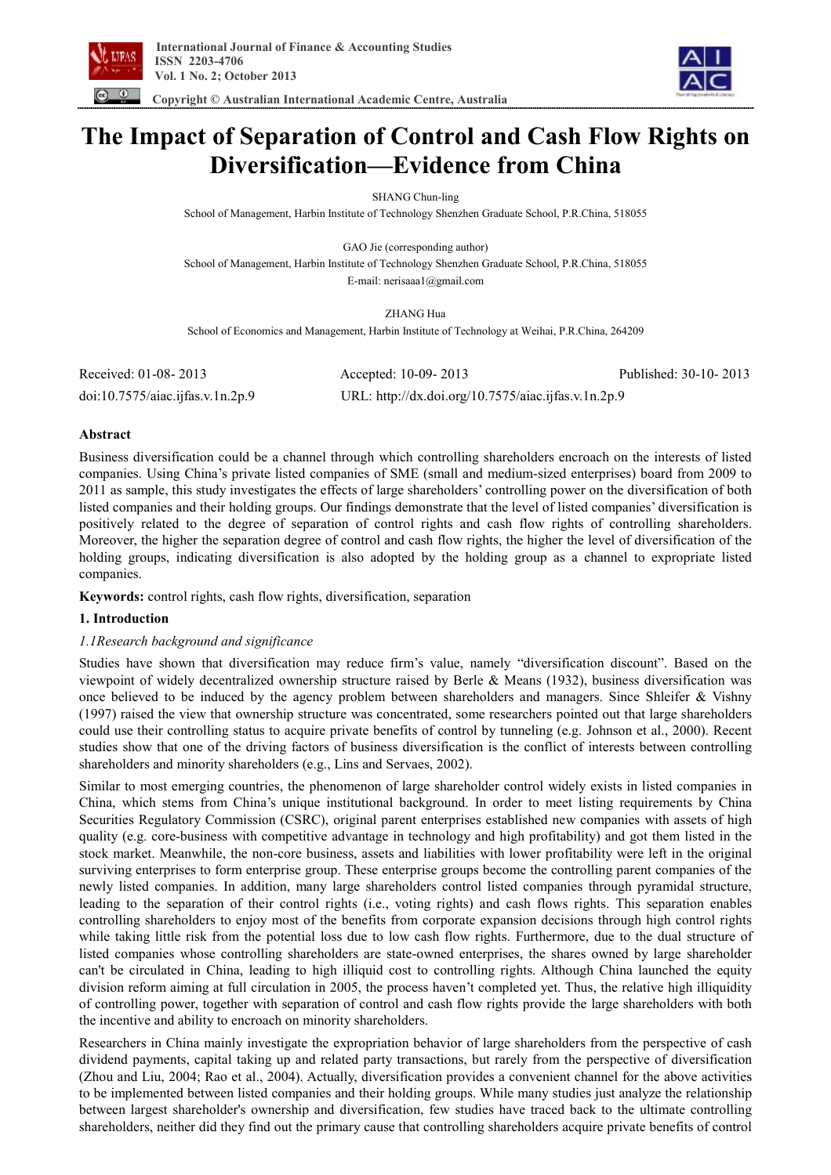

 **Copyright © Australian International Academic Centre, Australia** 



**The Impact of Separation of Control and Cash Flow Rights on Diversification—Evidence from China** 

SHANG Chun-ling

School of Management, Harbin Institute of Technology Shenzhen Graduate School, P.R.China, 518055

GAO Jie (corresponding author) School of Management, Harbin Institute of Technology Shenzhen Graduate School, P.R.China, 518055 E-mail: nerisaaa1@gmail.com

ZHANG Hua School of Economics and Management, Harbin Institute of Technology at Weihai, P.R.China, 264209

| Received: 01-08-2013            | Accepted: 10-09-2013                                | Published: 30-10-2013 |
|---------------------------------|-----------------------------------------------------|-----------------------|
| doi:10.7575/aiac.jfas.v.1n.2p.9 | URL: http://dx.doi.org/10.7575/aiac.ijfas.v.1n.2p.9 |                       |

# **Abstract**

Business diversification could be a channel through which controlling shareholders encroach on the interests of listed companies. Using China's private listed companies of SME (small and medium-sized enterprises) board from 2009 to 2011 as sample, this study investigates the effects of large shareholders' controlling power on the diversification of both listed companies and their holding groups. Our findings demonstrate that the level of listed companies' diversification is positively related to the degree of separation of control rights and cash flow rights of controlling shareholders. Moreover, the higher the separation degree of control and cash flow rights, the higher the level of diversification of the holding groups, indicating diversification is also adopted by the holding group as a channel to expropriate listed companies.

**Keywords:** control rights, cash flow rights, diversification, separation

# **1. Introduction**

# *1.1Research background and significance*

Studies have shown that diversification may reduce firm's value, namely "diversification discount". Based on the viewpoint of widely decentralized ownership structure raised by Berle & Means (1932), business diversification was once believed to be induced by the agency problem between shareholders and managers. Since Shleifer & Vishny (1997) raised the view that ownership structure was concentrated, some researchers pointed out that large shareholders could use their controlling status to acquire private benefits of control by tunneling (e.g. Johnson et al., 2000). Recent studies show that one of the driving factors of business diversification is the conflict of interests between controlling shareholders and minority shareholders (e.g., Lins and Servaes, 2002).

Similar to most emerging countries, the phenomenon of large shareholder control widely exists in listed companies in China, which stems from China's unique institutional background. In order to meet listing requirements by China Securities Regulatory Commission (CSRC), original parent enterprises established new companies with assets of high quality (e.g. core-business with competitive advantage in technology and high profitability) and got them listed in the stock market. Meanwhile, the non-core business, assets and liabilities with lower profitability were left in the original surviving enterprises to form enterprise group. These enterprise groups become the controlling parent companies of the newly listed companies. In addition, many large shareholders control listed companies through pyramidal structure, leading to the separation of their control rights (i.e., voting rights) and cash flows rights. This separation enables controlling shareholders to enjoy most of the benefits from corporate expansion decisions through high control rights while taking little risk from the potential loss due to low cash flow rights. Furthermore, due to the dual structure of listed companies whose controlling shareholders are state-owned enterprises, the shares owned by large shareholder can't be circulated in China, leading to high illiquid cost to controlling rights. Although China launched the equity division reform aiming at full circulation in 2005, the process haven't completed yet. Thus, the relative high illiquidity of controlling power, together with separation of control and cash flow rights provide the large shareholders with both the incentive and ability to encroach on minority shareholders.

Researchers in China mainly investigate the expropriation behavior of large shareholders from the perspective of cash dividend payments, capital taking up and related party transactions, but rarely from the perspective of diversification (Zhou and Liu, 2004; Rao et al., 2004). Actually, diversification provides a convenient channel for the above activities to be implemented between listed companies and their holding groups. While many studies just analyze the relationship between largest shareholder's ownership and diversification, few studies have traced back to the ultimate controlling shareholders, neither did they find out the primary cause that controlling shareholders acquire private benefits of control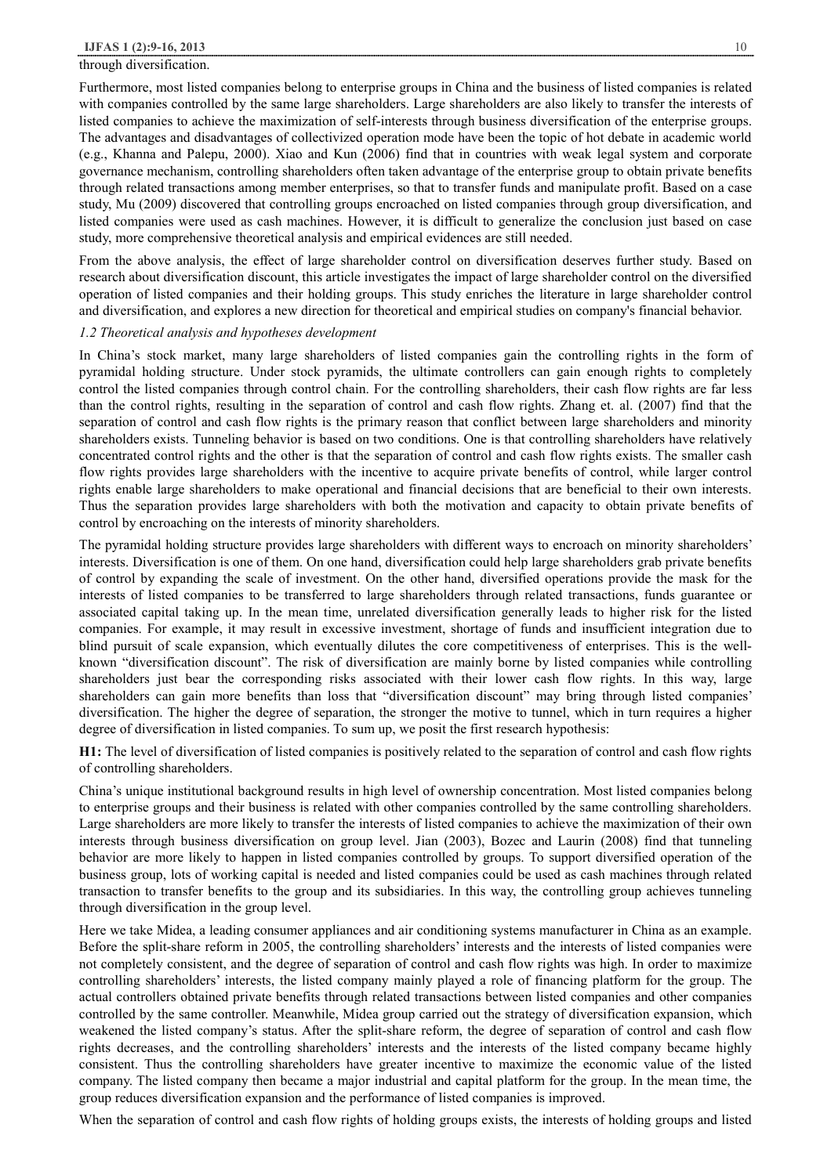## through diversification.

Furthermore, most listed companies belong to enterprise groups in China and the business of listed companies is related with companies controlled by the same large shareholders. Large shareholders are also likely to transfer the interests of listed companies to achieve the maximization of self-interests through business diversification of the enterprise groups. The advantages and disadvantages of collectivized operation mode have been the topic of hot debate in academic world (e.g., Khanna and Palepu, 2000). Xiao and Kun (2006) find that in countries with weak legal system and corporate governance mechanism, controlling shareholders often taken advantage of the enterprise group to obtain private benefits through related transactions among member enterprises, so that to transfer funds and manipulate profit. Based on a case study, Mu (2009) discovered that controlling groups encroached on listed companies through group diversification, and listed companies were used as cash machines. However, it is difficult to generalize the conclusion just based on case study, more comprehensive theoretical analysis and empirical evidences are still needed.

From the above analysis, the effect of large shareholder control on diversification deserves further study. Based on research about diversification discount, this article investigates the impact of large shareholder control on the diversified operation of listed companies and their holding groups. This study enriches the literature in large shareholder control and diversification, and explores a new direction for theoretical and empirical studies on company's financial behavior.

### *1.2 Theoretical analysis and hypotheses development*

In China's stock market, many large shareholders of listed companies gain the controlling rights in the form of pyramidal holding structure. Under stock pyramids, the ultimate controllers can gain enough rights to completely control the listed companies through control chain. For the controlling shareholders, their cash flow rights are far less than the control rights, resulting in the separation of control and cash flow rights. Zhang et. al. (2007) find that the separation of control and cash flow rights is the primary reason that conflict between large shareholders and minority shareholders exists. Tunneling behavior is based on two conditions. One is that controlling shareholders have relatively concentrated control rights and the other is that the separation of control and cash flow rights exists. The smaller cash flow rights provides large shareholders with the incentive to acquire private benefits of control, while larger control rights enable large shareholders to make operational and financial decisions that are beneficial to their own interests. Thus the separation provides large shareholders with both the motivation and capacity to obtain private benefits of control by encroaching on the interests of minority shareholders.

The pyramidal holding structure provides large shareholders with different ways to encroach on minority shareholders' interests. Diversification is one of them. On one hand, diversification could help large shareholders grab private benefits of control by expanding the scale of investment. On the other hand, diversified operations provide the mask for the interests of listed companies to be transferred to large shareholders through related transactions, funds guarantee or associated capital taking up. In the mean time, unrelated diversification generally leads to higher risk for the listed companies. For example, it may result in excessive investment, shortage of funds and insufficient integration due to blind pursuit of scale expansion, which eventually dilutes the core competitiveness of enterprises. This is the wellknown "diversification discount". The risk of diversification are mainly borne by listed companies while controlling shareholders just bear the corresponding risks associated with their lower cash flow rights. In this way, large shareholders can gain more benefits than loss that "diversification discount" may bring through listed companies' diversification. The higher the degree of separation, the stronger the motive to tunnel, which in turn requires a higher degree of diversification in listed companies. To sum up, we posit the first research hypothesis:

**H1:** The level of diversification of listed companies is positively related to the separation of control and cash flow rights of controlling shareholders.

China's unique institutional background results in high level of ownership concentration. Most listed companies belong to enterprise groups and their business is related with other companies controlled by the same controlling shareholders. Large shareholders are more likely to transfer the interests of listed companies to achieve the maximization of their own interests through business diversification on group level. Jian (2003), Bozec and Laurin (2008) find that tunneling behavior are more likely to happen in listed companies controlled by groups. To support diversified operation of the business group, lots of working capital is needed and listed companies could be used as cash machines through related transaction to transfer benefits to the group and its subsidiaries. In this way, the controlling group achieves tunneling through diversification in the group level.

Here we take Midea, a leading consumer appliances and air conditioning systems manufacturer in China as an example. Before the split-share reform in 2005, the controlling shareholders' interests and the interests of listed companies were not completely consistent, and the degree of separation of control and cash flow rights was high. In order to maximize controlling shareholders' interests, the listed company mainly played a role of financing platform for the group. The actual controllers obtained private benefits through related transactions between listed companies and other companies controlled by the same controller. Meanwhile, Midea group carried out the strategy of diversification expansion, which weakened the listed company's status. After the split-share reform, the degree of separation of control and cash flow rights decreases, and the controlling shareholders' interests and the interests of the listed company became highly consistent. Thus the controlling shareholders have greater incentive to maximize the economic value of the listed company. The listed company then became a major industrial and capital platform for the group. In the mean time, the group reduces diversification expansion and the performance of listed companies is improved.

When the separation of control and cash flow rights of holding groups exists, the interests of holding groups and listed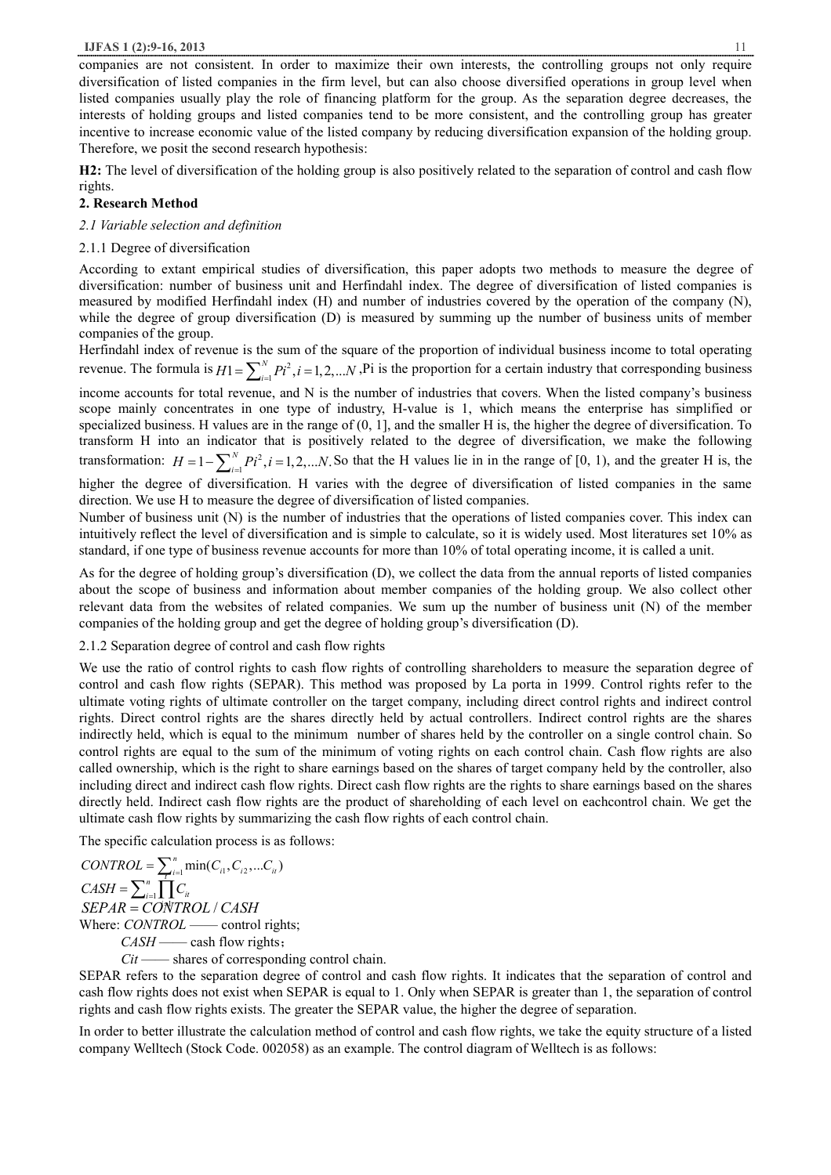companies are not consistent. In order to maximize their own interests, the controlling groups not only require diversification of listed companies in the firm level, but can also choose diversified operations in group level when listed companies usually play the role of financing platform for the group. As the separation degree decreases, the interests of holding groups and listed companies tend to be more consistent, and the controlling group has greater incentive to increase economic value of the listed company by reducing diversification expansion of the holding group. Therefore, we posit the second research hypothesis:

**H2:** The level of diversification of the holding group is also positively related to the separation of control and cash flow rights.

## **2. Research Method**

## *2.1 Variable selection and definition*

## 2.1.1 Degree of diversification

According to extant empirical studies of diversification, this paper adopts two methods to measure the degree of diversification: number of business unit and Herfindahl index. The degree of diversification of listed companies is measured by modified Herfindahl index (H) and number of industries covered by the operation of the company (N), while the degree of group diversification (D) is measured by summing up the number of business units of member companies of the group.

Herfindahl index of revenue is the sum of the square of the proportion of individual business income to total operating revenue. The formula is  $H1 = \sum_{i=1}^{N} P i^2, i = 1, 2, ...$  $H1 = \sum_{i=1}^{N} P i^2$ ,  $i = 1, 2, ... N$ , Pi is the proportion for a certain industry that corresponding business

income accounts for total revenue, and N is the number of industries that covers. When the listed company's business scope mainly concentrates in one type of industry, H-value is 1, which means the enterprise has simplified or specialized business. H values are in the range of (0, 1], and the smaller H is, the higher the degree of diversification. To transform H into an indicator that is positively related to the degree of diversification, we make the following transformation:  $H = 1 - \sum_{i=1}^{N} P i^2, i = 1, 2, ... N$ .  $H = 1 - \sum_{i=1}^{N} P i^2$ ,  $i = 1, 2, \dots N$ . So that the H values lie in in the range of [0, 1), and the greater H is, the

higher the degree of diversification. H varies with the degree of diversification of listed companies in the same direction. We use H to measure the degree of diversification of listed companies.

Number of business unit (N) is the number of industries that the operations of listed companies cover. This index can intuitively reflect the level of diversification and is simple to calculate, so it is widely used. Most literatures set 10% as standard, if one type of business revenue accounts for more than 10% of total operating income, it is called a unit.

As for the degree of holding group's diversification (D), we collect the data from the annual reports of listed companies about the scope of business and information about member companies of the holding group. We also collect other relevant data from the websites of related companies. We sum up the number of business unit (N) of the member companies of the holding group and get the degree of holding group's diversification (D).

## 2.1.2 Separation degree of control and cash flow rights

We use the ratio of control rights to cash flow rights of controlling shareholders to measure the separation degree of control and cash flow rights (SEPAR). This method was proposed by La porta in 1999. Control rights refer to the ultimate voting rights of ultimate controller on the target company, including direct control rights and indirect control rights. Direct control rights are the shares directly held by actual controllers. Indirect control rights are the shares indirectly held, which is equal to the minimum number of shares held by the controller on a single control chain. So control rights are equal to the sum of the minimum of voting rights on each control chain. Cash flow rights are also called ownership, which is the right to share earnings based on the shares of target company held by the controller, also including direct and indirect cash flow rights. Direct cash flow rights are the rights to share earnings based on the shares directly held. Indirect cash flow rights are the product of shareholding of each level on eachcontrol chain. We get the ultimate cash flow rights by summarizing the cash flow rights of each control chain.

The specific calculation process is as follows:

 $CONTROL = \sum_{i=1}^{n} \min(C_{i1}, C_{i2},...C_{i} )$ <br> $C_{i}$  $CASH = \sum_{i=1}^{n} \prod C_{ii}$ 1 *i* = *SEPAR* = *CONTROL* / *CASH* Where: *CONTROL* —— control rights; *CASH* —— cash flow rights;

*Cit* —— shares of corresponding control chain.

SEPAR refers to the separation degree of control and cash flow rights. It indicates that the separation of control and cash flow rights does not exist when SEPAR is equal to 1. Only when SEPAR is greater than 1, the separation of control rights and cash flow rights exists. The greater the SEPAR value, the higher the degree of separation.

In order to better illustrate the calculation method of control and cash flow rights, we take the equity structure of a listed company Welltech (Stock Code. 002058) as an example. The control diagram of Welltech is as follows: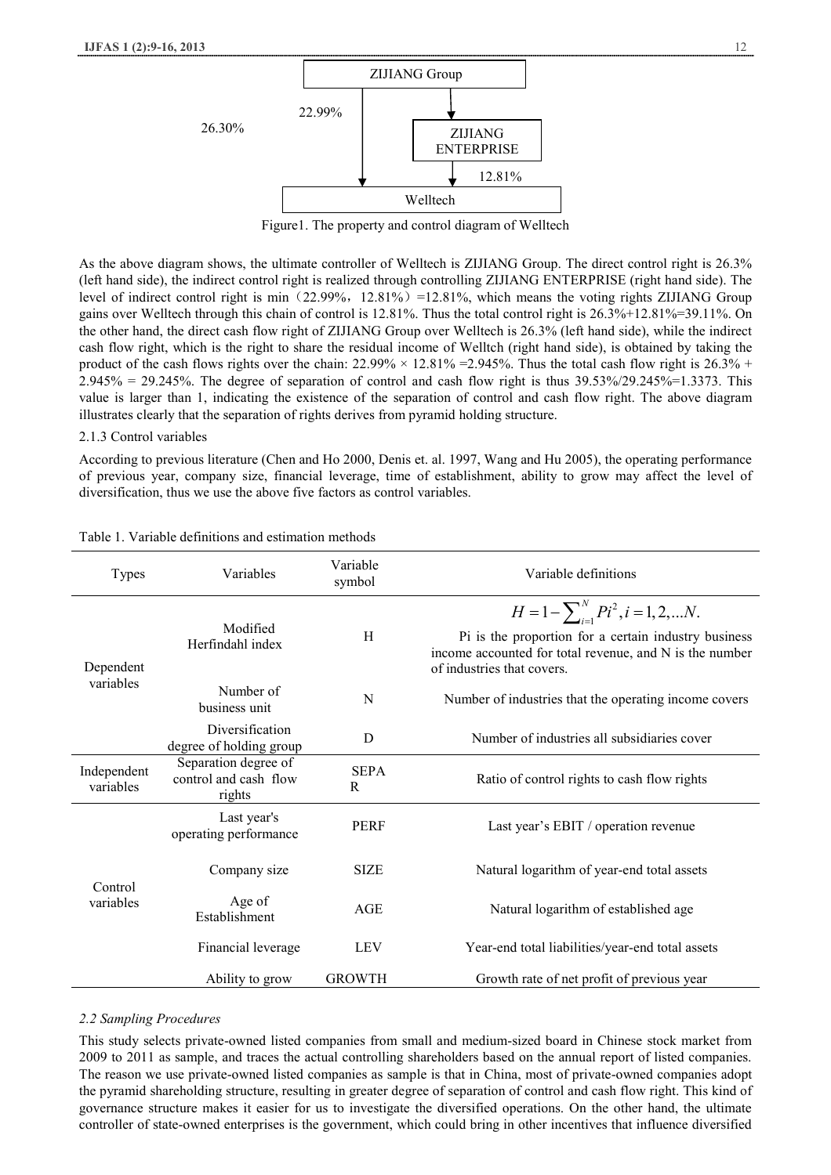

Figure1. The property and control diagram of Welltech

As the above diagram shows, the ultimate controller of Welltech is ZIJIANG Group. The direct control right is 26.3% (left hand side), the indirect control right is realized through controlling ZIJIANG ENTERPRISE (right hand side). The level of indirect control right is min (22.99%,  $12.81\%$ ) =12.81%, which means the voting rights ZIJIANG Group gains over Welltech through this chain of control is 12.81%. Thus the total control right is 26.3%+12.81%=39.11%. On the other hand, the direct cash flow right of ZIJIANG Group over Welltech is 26.3% (left hand side), while the indirect cash flow right, which is the right to share the residual income of Welltch (right hand side), is obtained by taking the product of the cash flows rights over the chain:  $22.99\% \times 12.81\% = 2.945\%$ . Thus the total cash flow right is  $26.3\%$  +  $2.945\% = 29.245\%$ . The degree of separation of control and cash flow right is thus  $39.53\%/29.245\% = 1.3373$ . This value is larger than 1, indicating the existence of the separation of control and cash flow right. The above diagram illustrates clearly that the separation of rights derives from pyramid holding structure.

#### 2.1.3 Control variables

According to previous literature (Chen and Ho 2000, Denis et. al. 1997, Wang and Hu 2005), the operating performance of previous year, company size, financial leverage, time of establishment, ability to grow may affect the level of diversification, thus we use the above five factors as control variables.

| <b>Types</b>             | Variables                                               | Variable<br>symbol | Variable definitions                                                                                                                                                                          |  |
|--------------------------|---------------------------------------------------------|--------------------|-----------------------------------------------------------------------------------------------------------------------------------------------------------------------------------------------|--|
| Dependent<br>variables   | Modified<br>Herfindahl index                            | H                  | $H = 1 - \sum_{i=1}^{N} P i^2, i = 1, 2,  N.$<br>Pi is the proportion for a certain industry business<br>income accounted for total revenue, and N is the number<br>of industries that covers |  |
|                          | Number of<br>business unit                              | N                  | Number of industries that the operating income covers                                                                                                                                         |  |
|                          | Diversification<br>degree of holding group              | D                  | Number of industries all subsidiaries cover                                                                                                                                                   |  |
| Independent<br>variables | Separation degree of<br>control and cash flow<br>rights | <b>SEPA</b><br>R   | Ratio of control rights to cash flow rights                                                                                                                                                   |  |
| Control<br>variables     | Last year's<br>operating performance                    | <b>PERF</b>        | Last year's EBIT / operation revenue                                                                                                                                                          |  |
|                          | Company size                                            | <b>SIZE</b>        | Natural logarithm of year-end total assets                                                                                                                                                    |  |
|                          | Age of<br>Establishment                                 | AGE                | Natural logarithm of established age                                                                                                                                                          |  |
|                          | Financial leverage                                      | <b>LEV</b>         | Year-end total liabilities/year-end total assets                                                                                                                                              |  |
|                          | Ability to grow                                         | <b>GROWTH</b>      | Growth rate of net profit of previous year                                                                                                                                                    |  |

# Table 1. Variable definitions and estimation methods

#### *2.2 Sampling Procedures*

This study selects private-owned listed companies from small and medium-sized board in Chinese stock market from 2009 to 2011 as sample, and traces the actual controlling shareholders based on the annual report of listed companies. The reason we use private-owned listed companies as sample is that in China, most of private-owned companies adopt the pyramid shareholding structure, resulting in greater degree of separation of control and cash flow right. This kind of governance structure makes it easier for us to investigate the diversified operations. On the other hand, the ultimate controller of state-owned enterprises is the government, which could bring in other incentives that influence diversified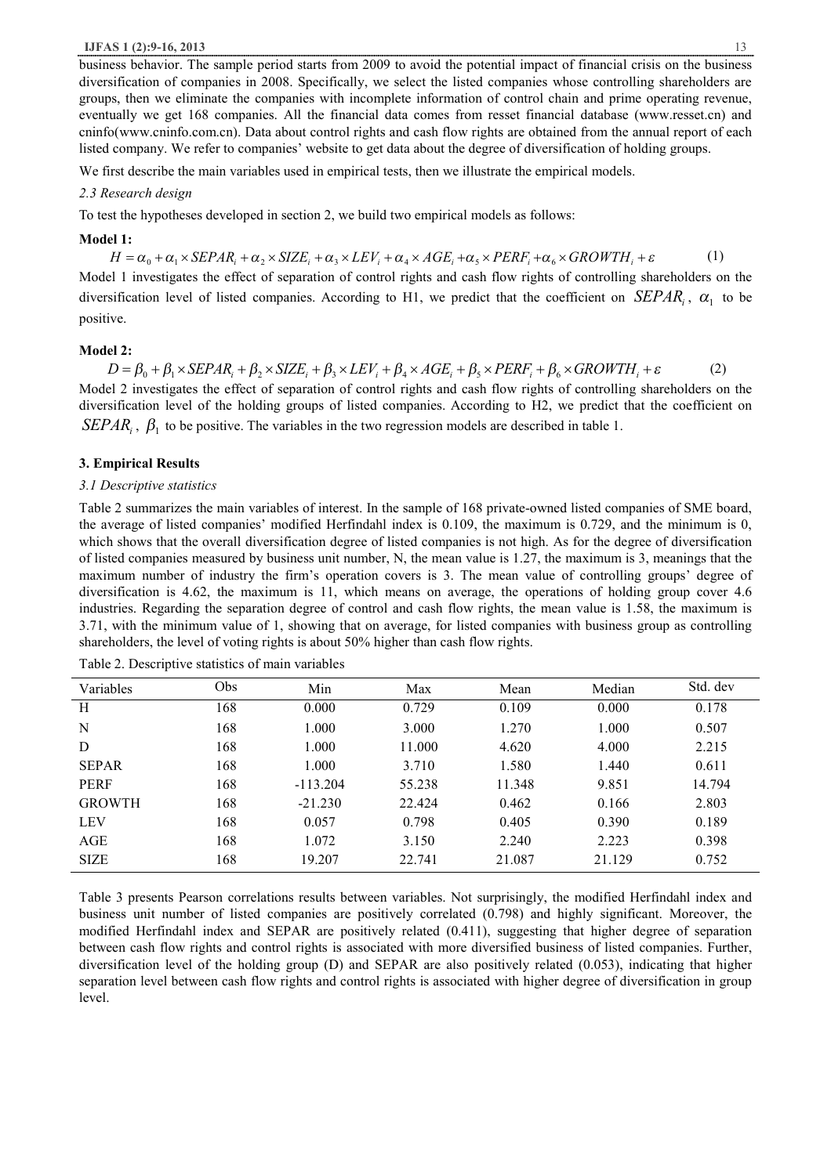business behavior. The sample period starts from 2009 to avoid the potential impact of financial crisis on the business diversification of companies in 2008. Specifically, we select the listed companies whose controlling shareholders are groups, then we eliminate the companies with incomplete information of control chain and prime operating revenue, eventually we get 168 companies. All the financial data comes from resset financial database (www.resset.cn) and cninfo(www.cninfo.com.cn). Data about control rights and cash flow rights are obtained from the annual report of each listed company. We refer to companies' website to get data about the degree of diversification of holding groups.

We first describe the main variables used in empirical tests, then we illustrate the empirical models.

# *2.3 Research design*

To test the hypotheses developed in section 2, we build two empirical models as follows:

## **Model 1:**

 $H = \alpha_0 + \alpha_1 \times SEPAR_i + \alpha_2 \times SIZE_i + \alpha_3 \times LEV_i + \alpha_4 \times AGE_i + \alpha_5 \times PERF_i + \alpha_6 \times GROWTH_i + \varepsilon$  (1) Model 1 investigates the effect of separation of control rights and cash flow rights of controlling shareholders on the diversification level of listed companies. According to H1, we predict that the coefficient on  $SEPAR_i$ ,  $\alpha_1$  to be positive.

# **Model 2:**

 $D = \beta_0 + \beta_1 \times SEPAR_i + \beta_2 \times SIZE_i + \beta_3 \times LEV_i + \beta_4 \times AGE_i + \beta_5 \times PERF_i + \beta_6 \times GROWTH_i + \varepsilon$  (2) Model 2 investigates the effect of separation of control rights and cash flow rights of controlling shareholders on the diversification level of the holding groups of listed companies. According to H2, we predict that the coefficient on *SEPAR*<sub>*i*</sub>,  $\beta_1$  to be positive. The variables in the two regression models are described in table 1.

# **3. Empirical Results**

#### *3.1 Descriptive statistics*

Table 2 summarizes the main variables of interest. In the sample of 168 private-owned listed companies of SME board, the average of listed companies' modified Herfindahl index is 0.109, the maximum is 0.729, and the minimum is 0, which shows that the overall diversification degree of listed companies is not high. As for the degree of diversification of listed companies measured by business unit number, N, the mean value is 1.27, the maximum is 3, meanings that the maximum number of industry the firm's operation covers is 3. The mean value of controlling groups' degree of diversification is 4.62, the maximum is 11, which means on average, the operations of holding group cover 4.6 industries. Regarding the separation degree of control and cash flow rights, the mean value is 1.58, the maximum is 3.71, with the minimum value of 1, showing that on average, for listed companies with business group as controlling shareholders, the level of voting rights is about 50% higher than cash flow rights.

| Variables     | Obs | Min        | Max    | Mean   | Median | Std. dev |
|---------------|-----|------------|--------|--------|--------|----------|
| H             | 168 | 0.000      | 0.729  | 0.109  | 0.000  | 0.178    |
| N             | 168 | 1.000      | 3.000  | 1.270  | 1.000  | 0.507    |
| D             | 168 | 1.000      | 11.000 | 4.620  | 4.000  | 2.215    |
| <b>SEPAR</b>  | 168 | 1.000      | 3.710  | 1.580  | 1.440  | 0.611    |
| <b>PERF</b>   | 168 | $-113.204$ | 55.238 | 11.348 | 9.851  | 14.794   |
| <b>GROWTH</b> | 168 | $-21.230$  | 22.424 | 0.462  | 0.166  | 2.803    |
| <b>LEV</b>    | 168 | 0.057      | 0.798  | 0.405  | 0.390  | 0.189    |
| AGE           | 168 | 1.072      | 3.150  | 2.240  | 2.223  | 0.398    |
| <b>SIZE</b>   | 168 | 19.207     | 22.741 | 21.087 | 21.129 | 0.752    |

Table 2. Descriptive statistics of main variables

Table 3 presents Pearson correlations results between variables. Not surprisingly, the modified Herfindahl index and business unit number of listed companies are positively correlated (0.798) and highly significant. Moreover, the modified Herfindahl index and SEPAR are positively related (0.411), suggesting that higher degree of separation between cash flow rights and control rights is associated with more diversified business of listed companies. Further, diversification level of the holding group (D) and SEPAR are also positively related (0.053), indicating that higher separation level between cash flow rights and control rights is associated with higher degree of diversification in group level.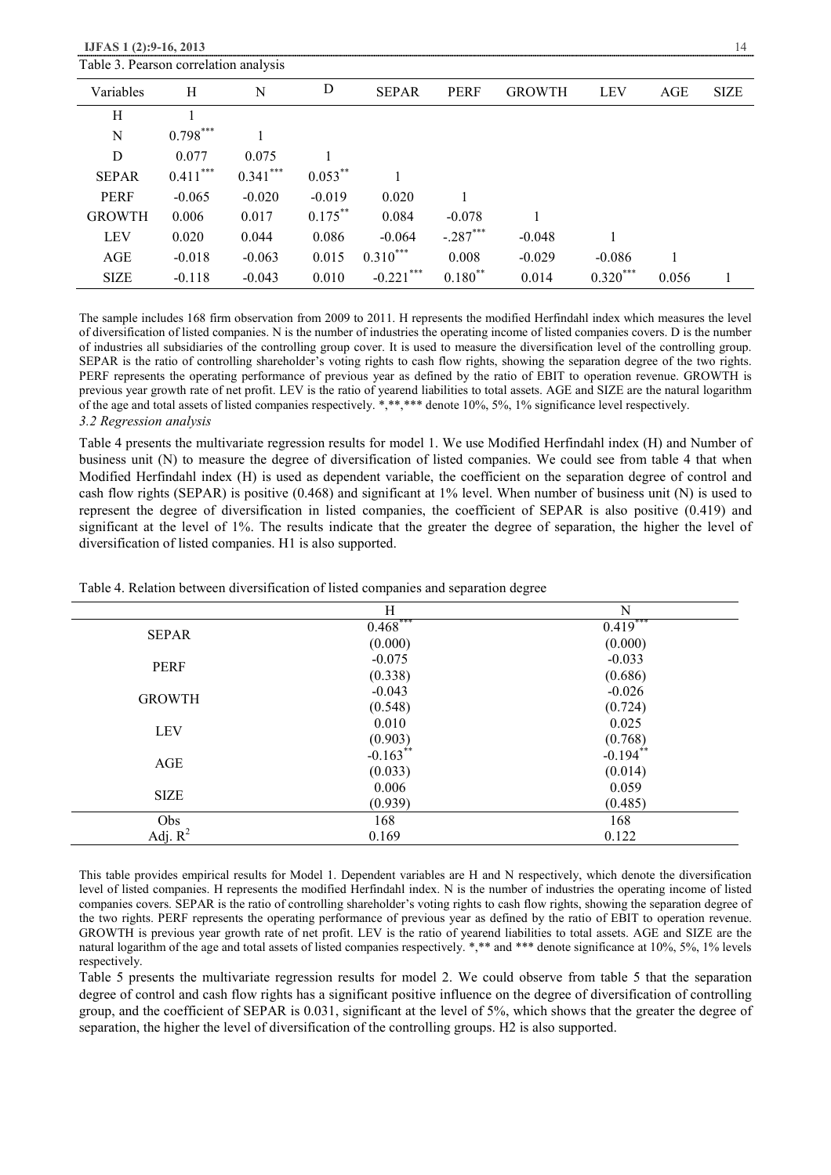| Table 3. Pearson correlation analysis |            |            |            |                 |             |               |            |       |             |
|---------------------------------------|------------|------------|------------|-----------------|-------------|---------------|------------|-------|-------------|
| Variables                             | Н          | N          | D          | <b>SEPAR</b>    | <b>PERF</b> | <b>GROWTH</b> | <b>LEV</b> | AGE   | <b>SIZE</b> |
| Н                                     |            |            |            |                 |             |               |            |       |             |
| N                                     | $0.798***$ |            |            |                 |             |               |            |       |             |
| D                                     | 0.077      | 0.075      |            |                 |             |               |            |       |             |
| <b>SEPAR</b>                          | $0.411***$ | $0.341***$ | $0.053***$ |                 |             |               |            |       |             |
| <b>PERF</b>                           | $-0.065$   | $-0.020$   | $-0.019$   | 0.020           |             |               |            |       |             |
| <b>GROWTH</b>                         | 0.006      | 0.017      | $0.175***$ | 0.084           | $-0.078$    |               |            |       |             |
| <b>LEV</b>                            | 0.020      | 0.044      | 0.086      | $-0.064$        | $-.287***$  | $-0.048$      |            |       |             |
| AGE                                   | $-0.018$   | $-0.063$   | 0.015      | $0.310***$      | 0.008       | $-0.029$      | $-0.086$   |       |             |
| <b>SIZE</b>                           | $-0.118$   | $-0.043$   | 0.010      | ***<br>$-0.221$ | $0.180$ **  | 0.014         | $0.320***$ | 0.056 |             |

The sample includes 168 firm observation from 2009 to 2011. H represents the modified Herfindahl index which measures the level of diversification of listed companies. N is the number of industries the operating income of listed companies covers. D is the number of industries all subsidiaries of the controlling group cover. It is used to measure the diversification level of the controlling group. SEPAR is the ratio of controlling shareholder's voting rights to cash flow rights, showing the separation degree of the two rights. PERF represents the operating performance of previous year as defined by the ratio of EBIT to operation revenue. GROWTH is previous year growth rate of net profit. LEV is the ratio of yearend liabilities to total assets. AGE and SIZE are the natural logarithm of the age and total assets of listed companies respectively. \*,\*\*,\*\*\* denote 10%, 5%, 1% significance level respectively. *3.2 Regression analysis* 

Table 4 presents the multivariate regression results for model 1. We use Modified Herfindahl index (H) and Number of business unit (N) to measure the degree of diversification of listed companies. We could see from table 4 that when Modified Herfindahl index (H) is used as dependent variable, the coefficient on the separation degree of control and cash flow rights (SEPAR) is positive (0.468) and significant at 1% level. When number of business unit (N) is used to represent the degree of diversification in listed companies, the coefficient of SEPAR is also positive (0.419) and significant at the level of 1%. The results indicate that the greater the degree of separation, the higher the level of diversification of listed companies. H1 is also supported.

|               | Η                     | N                     |
|---------------|-----------------------|-----------------------|
| <b>SEPAR</b>  | $0.468***$            | $0.419***$            |
|               | (0.000)               | (0.000)               |
| <b>PERF</b>   | $-0.075$              | $-0.033$              |
|               | (0.338)               | (0.686)               |
| <b>GROWTH</b> | $-0.043$              | $-0.026$              |
|               | (0.548)               | (0.724)               |
| <b>LEV</b>    | 0.010                 | 0.025                 |
|               | $(0.903)$<br>-0.163** | $(0.768)$<br>-0.194** |
| <b>AGE</b>    |                       |                       |
|               | (0.033)               | (0.014)               |
| <b>SIZE</b>   | 0.006                 | 0.059                 |
|               | (0.939)               | (0.485)               |
| Obs           | 168                   | 168                   |
| Adj. $R^2$    | 0.169                 | 0.122                 |

Table 4. Relation between diversification of listed companies and separation degree

This table provides empirical results for Model 1. Dependent variables are H and N respectively, which denote the diversification level of listed companies. H represents the modified Herfindahl index. N is the number of industries the operating income of listed companies covers. SEPAR is the ratio of controlling shareholder's voting rights to cash flow rights, showing the separation degree of the two rights. PERF represents the operating performance of previous year as defined by the ratio of EBIT to operation revenue. GROWTH is previous year growth rate of net profit. LEV is the ratio of yearend liabilities to total assets. AGE and SIZE are the natural logarithm of the age and total assets of listed companies respectively. \*,\*\* and \*\*\* denote significance at 10%, 5%, 1% levels respectively.

Table 5 presents the multivariate regression results for model 2. We could observe from table 5 that the separation degree of control and cash flow rights has a significant positive influence on the degree of diversification of controlling group, and the coefficient of SEPAR is 0.031, significant at the level of 5%, which shows that the greater the degree of separation, the higher the level of diversification of the controlling groups. H2 is also supported.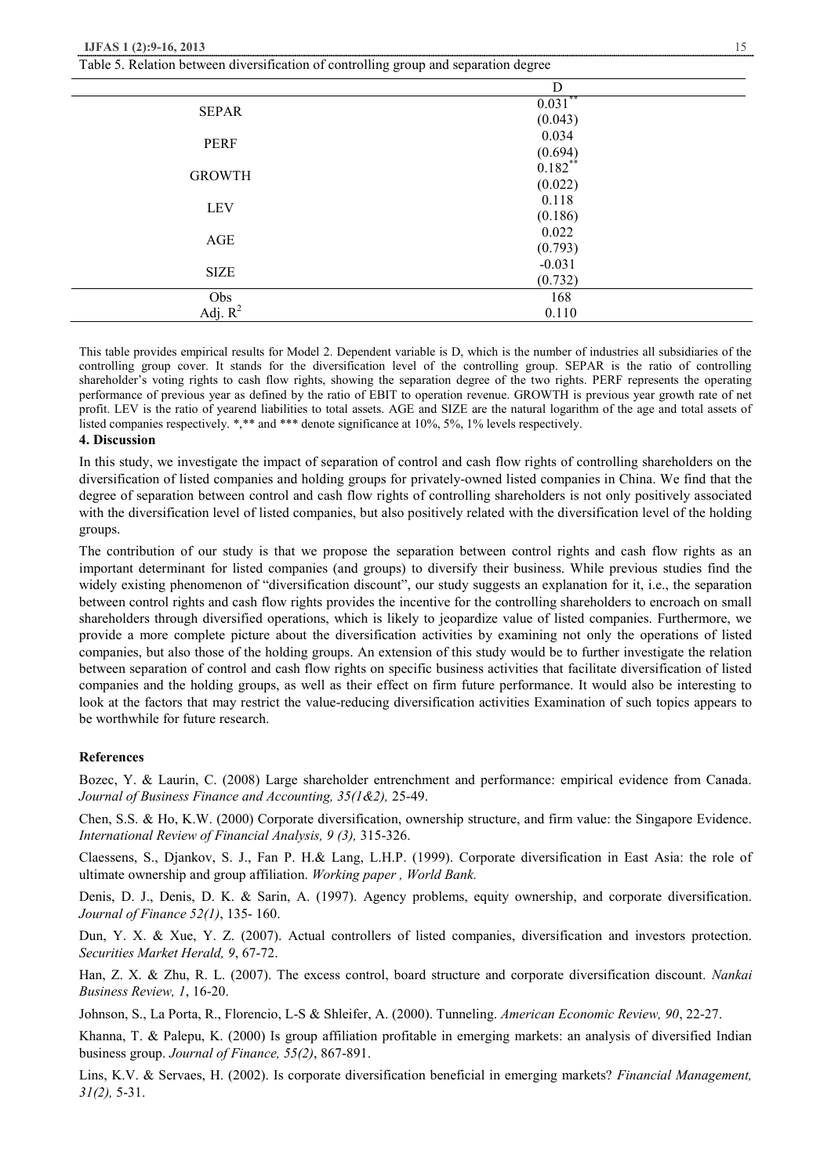| Table 5. Relation between diversification of controlling group and separation degree |                        |  |
|--------------------------------------------------------------------------------------|------------------------|--|
|                                                                                      | D                      |  |
| <b>SEPAR</b>                                                                         | $0.031$ **             |  |
|                                                                                      | (0.043)                |  |
| PERF                                                                                 | 0.034                  |  |
|                                                                                      | $(0.694)$<br>$0.182**$ |  |
| <b>GROWTH</b>                                                                        |                        |  |
|                                                                                      | (0.022)                |  |
| <b>LEV</b>                                                                           | 0.118                  |  |
|                                                                                      | (0.186)                |  |
| AGE                                                                                  | 0.022                  |  |
|                                                                                      | (0.793)                |  |
| <b>SIZE</b>                                                                          | $-0.031$               |  |
|                                                                                      | (0.732)                |  |
| Obs                                                                                  | 168                    |  |
| Adj. $R^2$                                                                           | 0.110                  |  |

This table provides empirical results for Model 2. Dependent variable is D, which is the number of industries all subsidiaries of the controlling group cover. It stands for the diversification level of the controlling group. SEPAR is the ratio of controlling shareholder's voting rights to cash flow rights, showing the separation degree of the two rights. PERF represents the operating performance of previous year as defined by the ratio of EBIT to operation revenue. GROWTH is previous year growth rate of net profit. LEV is the ratio of yearend liabilities to total assets. AGE and SIZE are the natural logarithm of the age and total assets of listed companies respectively. \*,\*\* and \*\*\* denote significance at 10%, 5%, 1% levels respectively.

## **4. Discussion**

In this study, we investigate the impact of separation of control and cash flow rights of controlling shareholders on the diversification of listed companies and holding groups for privately-owned listed companies in China. We find that the degree of separation between control and cash flow rights of controlling shareholders is not only positively associated with the diversification level of listed companies, but also positively related with the diversification level of the holding groups.

The contribution of our study is that we propose the separation between control rights and cash flow rights as an important determinant for listed companies (and groups) to diversify their business. While previous studies find the widely existing phenomenon of "diversification discount", our study suggests an explanation for it, i.e., the separation between control rights and cash flow rights provides the incentive for the controlling shareholders to encroach on small shareholders through diversified operations, which is likely to jeopardize value of listed companies. Furthermore, we provide a more complete picture about the diversification activities by examining not only the operations of listed companies, but also those of the holding groups. An extension of this study would be to further investigate the relation between separation of control and cash flow rights on specific business activities that facilitate diversification of listed companies and the holding groups, as well as their effect on firm future performance. It would also be interesting to look at the factors that may restrict the value-reducing diversification activities Examination of such topics appears to be worthwhile for future research.

## **References**

Bozec, Y. & Laurin, C. (2008) Large shareholder entrenchment and performance: empirical evidence from Canada. *Journal of Business Finance and Accounting, 35(1&2),* 25-49.

Chen, S.S. & Ho, K.W. (2000) Corporate diversification, ownership structure, and firm value: the Singapore Evidence. *International Review of Financial Analysis, 9 (3),* 315-326.

Claessens, S., Djankov, S. J., Fan P. H.& Lang, L.H.P. (1999). Corporate diversification in East Asia: the role of ultimate ownership and group affiliation. *Working paper , World Bank.* 

Denis, D. J., Denis, D. K. & Sarin, A. (1997). Agency problems, equity ownership, and corporate diversification. *Journal of Finance 52(1)*, 135- 160.

Dun, Y. X. & Xue, Y. Z. (2007). Actual controllers of listed companies, diversification and investors protection. *Securities Market Herald, 9*, 67-72.

Han, Z. X. & Zhu, R. L. (2007). The excess control, board structure and corporate diversification discount. *Nankai Business Review, 1*, 16-20.

Johnson, S., La Porta, R., Florencio, L-S & Shleifer, A. (2000). Tunneling. *American Economic Review, 90*, 22-27.

Khanna, T. & Palepu, K. (2000) Is group affiliation profitable in emerging markets: an analysis of diversified Indian business group. *Journal of Finance, 55(2)*, 867-891.

Lins, K.V. & Servaes, H. (2002). Is corporate diversification beneficial in emerging markets? *Financial Management, 31(2),* 5-31.